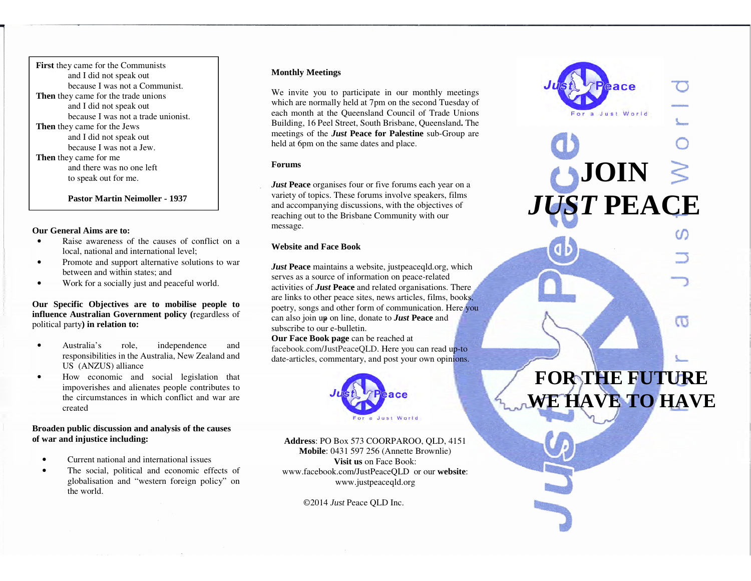**First** they came for the Communists and I did not speak out because I was not a Communist. **Then** they came for the trade unions and I did not speak out because I was not a trade unionist. **Then** they came for the Jews and I did not speak out because I was not a Jew. **Then** they came for me and there was no one left to speak out for me.

**Pastor Martin Neimoller - 1937** 

### **Our General Aims are to:**

- Raise awareness of the causes of conflict on a •local, national and international level;
- • Promote and support alternative solutions to war between and within states; and
- •Work for a socially just and peaceful world.

# **Our Specific Objectives are to mobilise people to influence Australian Government policy (**regardless of political party**) in relation to:**

- • Australia's role, independence and responsibilities in the Australia, New Zealand and US (ANZUS) alliance
- How economic and social legislation that •impoverishes and alienates people contributes to the circumstances in which conflict and war are created

# **Broaden public discussion and analysis of the causes of war and injustice including:**

- •Current national and international issues
- • The social, political and economic effects of globalisation and "western foreign policy" on the world.

# **Monthly Meetings**

We invite you to participate in our monthly meetings which are normally held at 7pm on the second Tuesday of each month at the Queensland Council of Trade Unions Building, 16 Peel Street, South Brisbane, Queensland**.** The meetings of the *Just* **Peace for Palestine** sub-Group are held at 6pm on the same dates and place.

#### **Forums**

*Just* **Peace** organises four or five forums each year on a variety of topics. These forums involve speakers, films and accompanying discussions, with the objectives of reaching out to the Brisbane Community with our message.

# **Website and Face Book**

*Just* Peace maintains a website, justpeaceqld.org, which serves as a source of information on peace-related activities of *Just* **Peace** and related organisations. There are links to other peace sites, news articles, films, books, poetry, songs and other form of communication. Here you can also join up on line, donate to *Just* **Peace** and subscribe to our e-bulletin.

 **Our Face Book page** can be reached at facebook.com/JustPeaceQLD. Here you can read up-to date-articles, commentary, and post your own opinions.



**Address**: PO Box 573 COORPAROO, QLD, 4151 **Mobile**: 0431 597 256 (Annette Brownlie) **Visit us** on Face Book: www.facebook.com/JustPeaceQLD or our **website**: www.justpeaceqld.org

©2014 *Just* Peace QLD Inc.

# ൹  **FOR THE FUTURE**

 **WE HAVE TO HAVE** 

**JOIN** 

ace

a Just World

*JUST* **PEACE**